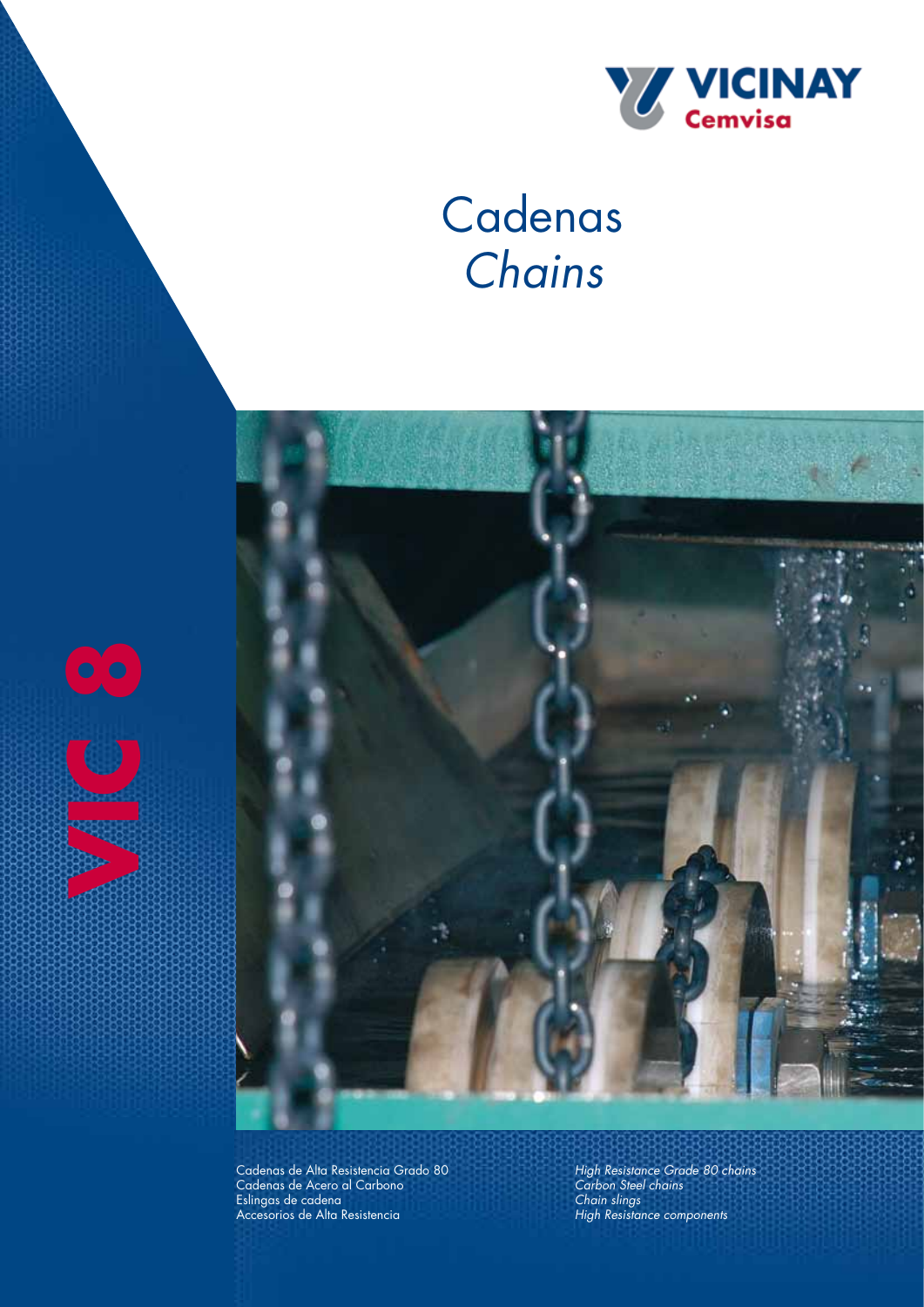

# **Cadenas** *Chains*



Cadenas de Alta Resistencia Grado 80 Cadenas de Acero al Carbono Eslingas de cadena Accesorios de Alta Resistencia

**V** 

*High Resistance Grade 80 chains Carbon Steel chains Chain slings High Resistance components*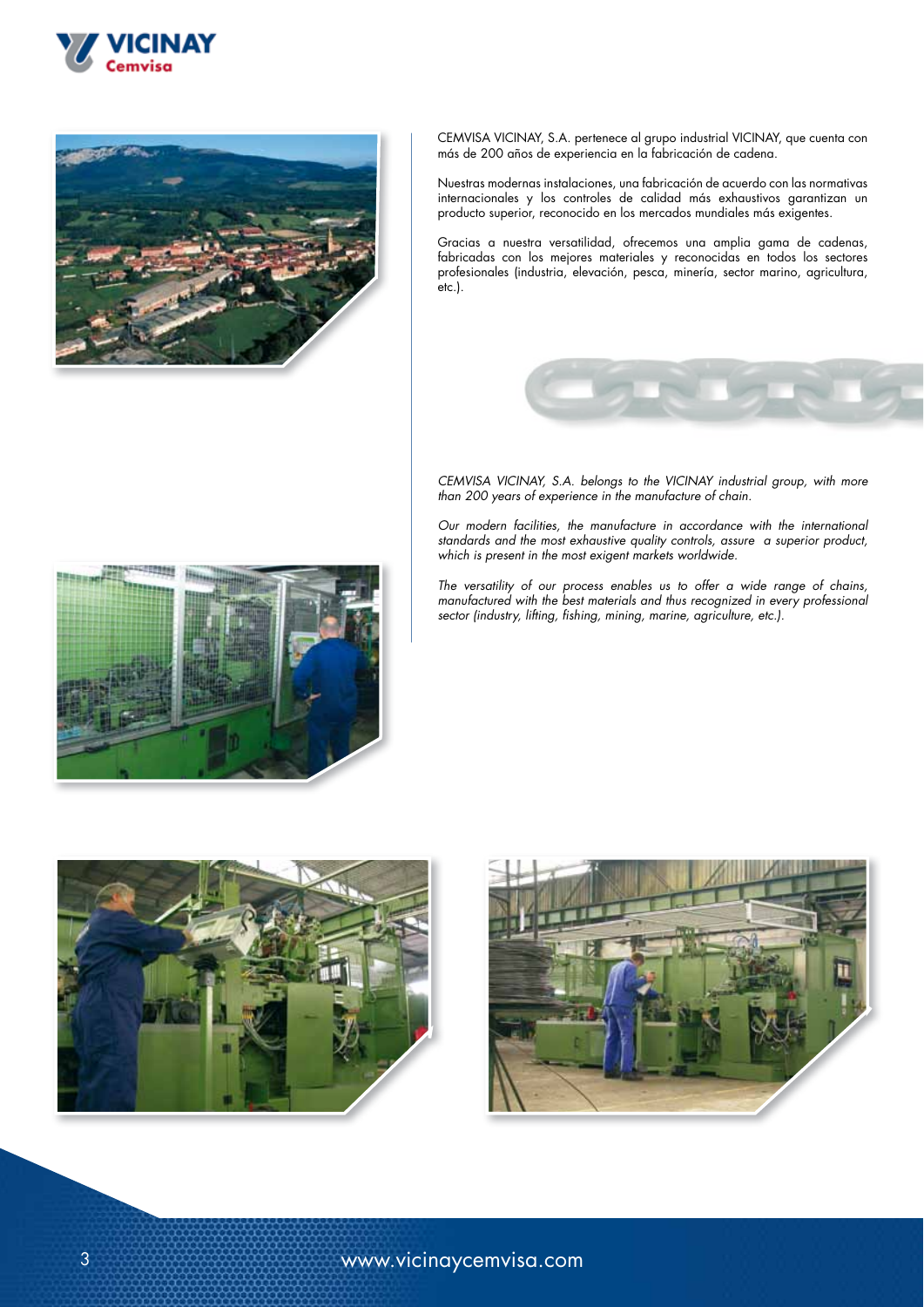



CEMVISA VICINAY, S.A. pertenece al grupo industrial VICINAY, que cuenta con más de 200 años de experiencia en la fabricación de cadena.

Nuestras modernas instalaciones, una fabricación de acuerdo con las normativas internacionales y los controles de calidad más exhaustivos garantizan un producto superior, reconocido en los mercados mundiales más exigentes.

Gracias a nuestra versatilidad, ofrecemos una amplia gama de cadenas, fabricadas con los mejores materiales y reconocidas en todos los sectores profesionales (industria, elevación, pesca, minería, sector marino, agricultura, etc.).



*CEMVISA VICINAY, S.A. belongs to the VICINAY industrial group, with more than 200 years of experience in the manufacture of chain.*

*Our modern facilities, the manufacture in accordance with the international standards and the most exhaustive quality controls, assure a superior product, which is present in the most exigent markets worldwide.*

*The versatility of our process enables us to offer a wide range of chains, manufactured with the best materials and thus recognized in every professional sector (industry, lifting, fishing, mining, marine, agriculture, etc.).*





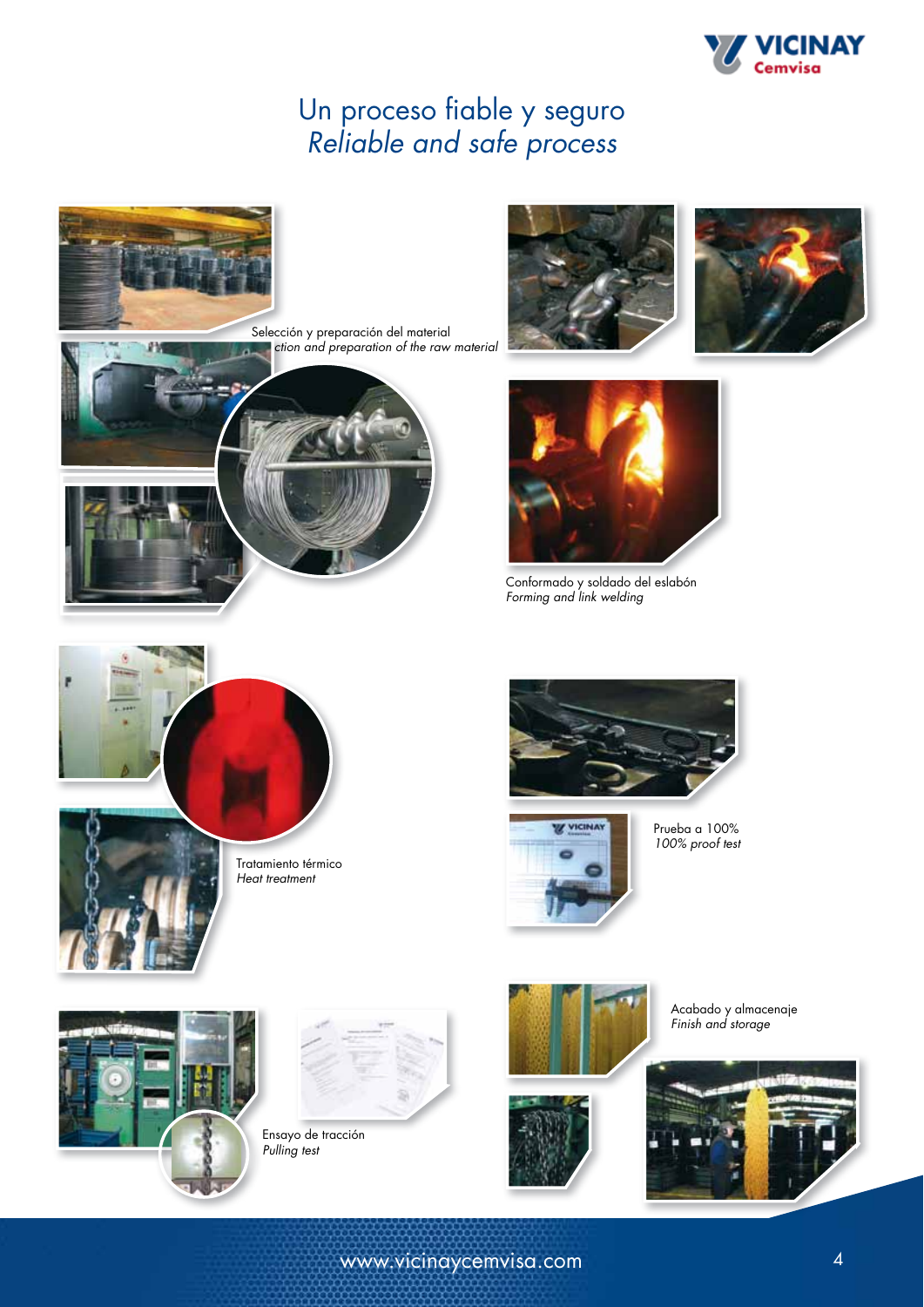

# Un proceso fiable y seguro *Reliable and safe process*







Conformado y soldado del eslabón *Forming and link welding*





Prueba a 100% *100% proof test*



Acabado y almacenaje *Finish and storage*

www.vicinaycemvisa.com 4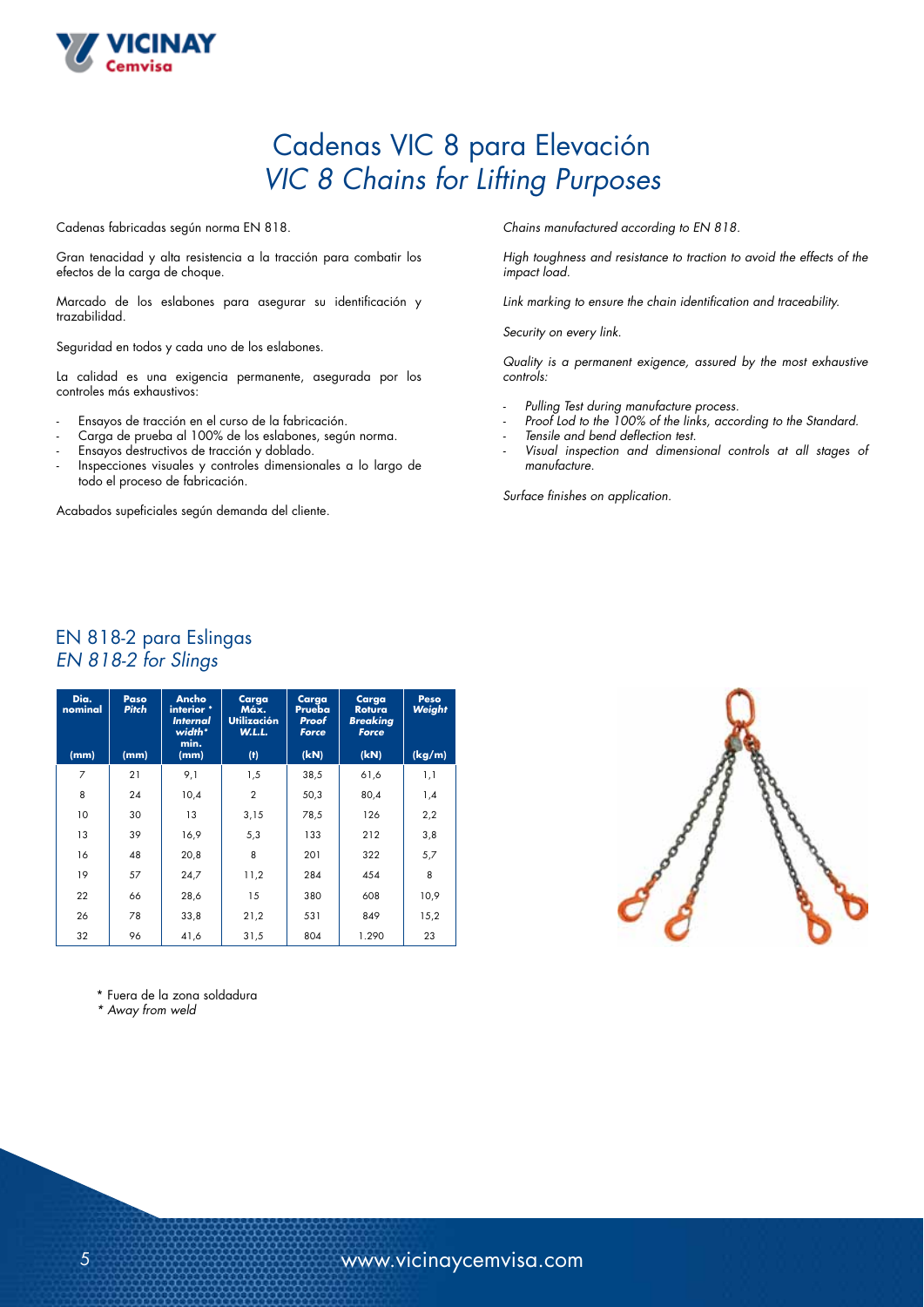

## Cadenas VIC 8 para Elevación *VIC 8 Chains for Lifting Purposes*

Cadenas fabricadas según norma EN 818.

Gran tenacidad y alta resistencia a la tracción para combatir los efectos de la carga de choque.

Marcado de los eslabones para asegurar su identificación y trazabilidad.

Seguridad en todos y cada uno de los eslabones.

La calidad es una exigencia permanente, asegurada por los controles más exhaustivos:

- Ensayos de tracción en el curso de la fabricación.
- Carga de prueba al 100% de los eslabones, según norma.
- Ensayos destructivos de tracción y doblado.
- Inspecciones visuales y controles dimensionales a lo largo de todo el proceso de fabricación.

Acabados supeficiales según demanda del cliente.

*Chains manufactured according to EN 818.*

*High toughness and resistance to traction to avoid the effects of the impact load.*

*Link marking to ensure the chain identification and traceability.*

*Security on every link.*

*Quality is a permanent exigence, assured by the most exhaustive controls:*

- *Pulling Test during manufacture process.*
- *Proof Lod to the 100% of the links, according to the Standard.*
- *- Tensile and bend deflection test.*
- *- Visual inspection and dimensional controls at all stages of manufacture.*

*Surface finishes on application.*

#### EN 818-2 para Eslingas EN 818-2 for Slings

| Dia.<br>nominal | Paso<br><b>Pitch</b> | Ancho<br>interior *<br><i><u><b>Internal</b></u></i><br>width*<br>min. | Carga<br>Máx.<br><b>Utilización</b><br><b>W.L.L.</b> | Carga<br>Prueba<br>Proof<br>Force | Carga<br><b>Rotura</b><br><b>Breaking</b><br>Force | Peso<br>Weight |
|-----------------|----------------------|------------------------------------------------------------------------|------------------------------------------------------|-----------------------------------|----------------------------------------------------|----------------|
| (mm)            | (mm)                 | (mm)                                                                   | (t)                                                  | (kN)                              | (kN)                                               | (kg/m)         |
| 7               | 21                   | 9,1                                                                    | 1,5                                                  | 38,5                              | 61,6                                               | 1,1            |
| 8               | 24                   | 10,4                                                                   | $\mathbf{2}$                                         | 50,3                              | 80,4                                               | 1,4            |
| 10              | 30                   | 13                                                                     | 3,15                                                 | 78,5                              | 126                                                | 2,2            |
| 13              | 39                   | 16,9                                                                   | 5,3                                                  | 133                               | 212                                                | 3,8            |
| 16              | 48                   | 20,8                                                                   | 8                                                    | 201                               | 322                                                | 5,7            |
| 19              | 57                   | 24,7                                                                   | 11,2                                                 | 284                               | 454                                                | 8              |
| 22              | 66                   | 28,6                                                                   | 15                                                   | 380                               | 608                                                | 10,9           |
| 26              | 78                   | 33,8                                                                   | 21,2                                                 | 531                               | 849                                                | 15,2           |
| 32              | 96                   | 41,6                                                                   | 31,5                                                 | 804                               | 1.290                                              | 23             |

\* Fuera de la zona soldadura

*\* Away from weld*

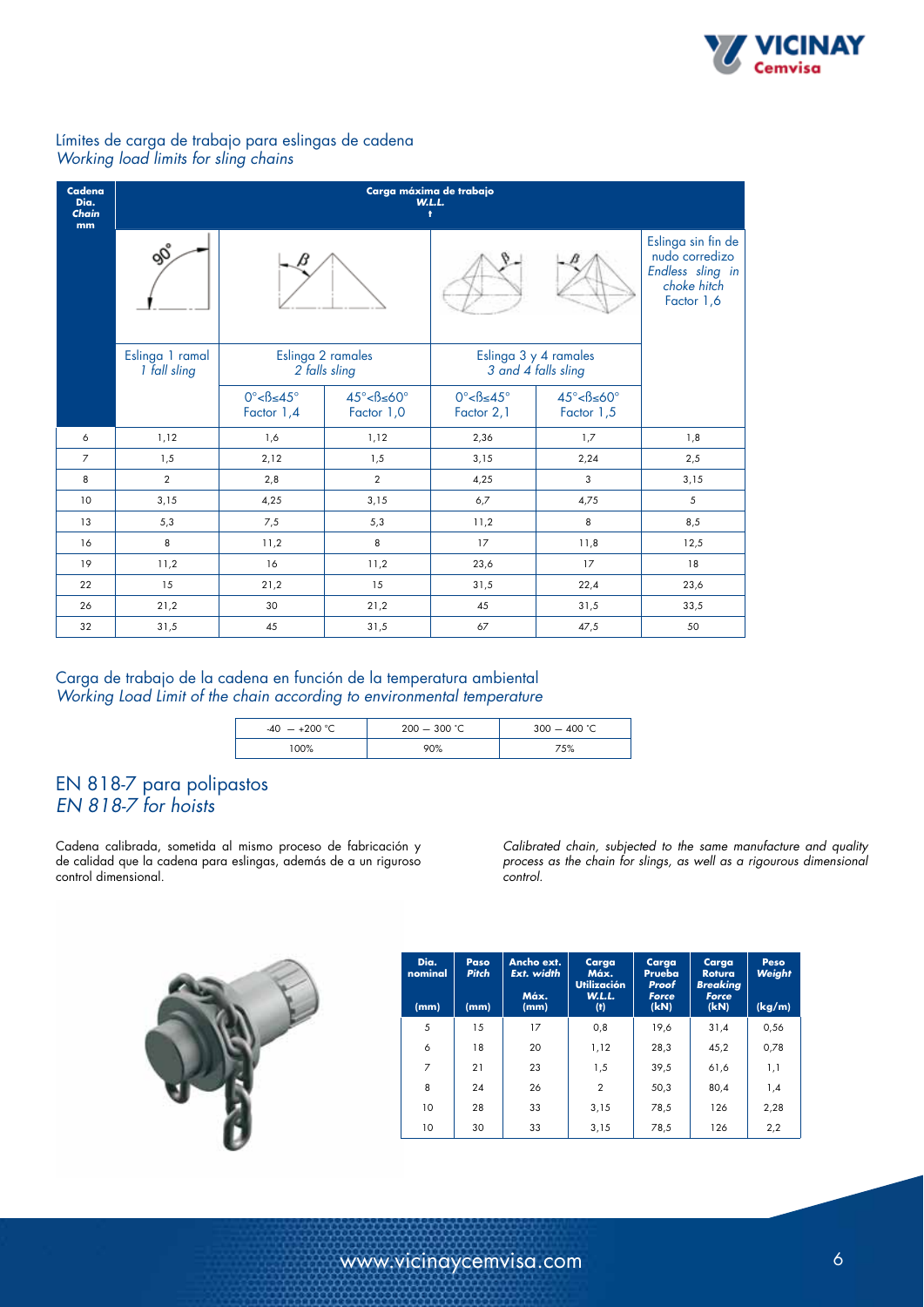

#### Límites de carga de trabajo para eslingas de cadena *Working load limits for sling chains*

| Cadena<br>Dia.<br>Chain<br>mm | Carga máxima de trabajo<br><b>W.L.L.</b><br>Ŧ. |                                               |                                                |                                                |                                                |                                                                                       |  |  |
|-------------------------------|------------------------------------------------|-----------------------------------------------|------------------------------------------------|------------------------------------------------|------------------------------------------------|---------------------------------------------------------------------------------------|--|--|
|                               | ෯                                              |                                               |                                                |                                                |                                                | Eslinga sin fin de<br>nudo corredizo<br>Endless sling in<br>choke hitch<br>Factor 1,6 |  |  |
|                               | Eslinga 1 ramal<br>1 fall sling                | Eslinga 2 ramales<br>2 falls sling            |                                                | Eslinga 3 y 4 ramales<br>3 and 4 falls sling   |                                                |                                                                                       |  |  |
|                               |                                                | $0^\circ < \beta \leq 45^\circ$<br>Factor 1,4 | $45^\circ < \beta \leq 60^\circ$<br>Factor 1,0 | $0^\circ < \beta \leq 45^\circ$<br>Factor 2, 1 | $45^\circ < \beta \leq 60^\circ$<br>Factor 1,5 |                                                                                       |  |  |
| 6                             | 1,12                                           | 1,6                                           | 1,12                                           | 2,36                                           | 1,7                                            | 1,8                                                                                   |  |  |
| $\overline{7}$                | 1,5                                            | 2,12                                          | 1,5                                            | 3,15                                           | 2,24                                           | 2,5                                                                                   |  |  |
| 8                             | $\overline{2}$                                 | 2,8                                           | $\overline{2}$                                 | 4,25                                           | 3                                              | 3,15                                                                                  |  |  |
| 10                            | 3,15                                           | 4,25                                          | 3,15                                           | 6,7                                            | 4,75                                           | 5                                                                                     |  |  |
| 13                            | 5,3                                            | 7,5                                           | 5,3                                            | 11,2                                           | 8                                              | 8,5                                                                                   |  |  |
| 16                            | 8                                              | 11,2                                          | 8                                              | 17                                             | 11,8                                           | 12,5                                                                                  |  |  |
| 19                            | 11,2                                           | 16                                            | 11,2                                           | 23,6                                           | 17                                             | 18                                                                                    |  |  |
| 22                            | 15                                             | 21,2                                          | 15                                             | 31,5                                           | 22,4                                           | 23,6                                                                                  |  |  |
| 26                            | 21,2                                           | 30                                            | 21,2                                           | 45                                             | 31,5                                           | 33,5                                                                                  |  |  |
| 32                            | 31,5                                           | 45                                            | 31,5                                           | 67                                             | 47,5                                           | 50                                                                                    |  |  |

#### Carga de trabajo de la cadena en función de la temperatura ambiental *Working Load Limit of the chain according to environmental temperature*

| $+200 °C$<br>$-40 -$ | $200 - 300$ °C | 400 $^{\circ}$ C<br>$300 -$ |
|----------------------|----------------|-----------------------------|
| 100%                 | 90%            | 75%                         |

### EN 818-7 para polipastos *EN 818-7 for hoists*

Cadena calibrada, sometida al mismo proceso de fabricación y de calidad que la cadena para eslingas, además de a un riguroso control dimensional.

*Calibrated chain, subjected to the same manufacture and quality process as the chain for slings, as well as a rigourous dimensional control.*

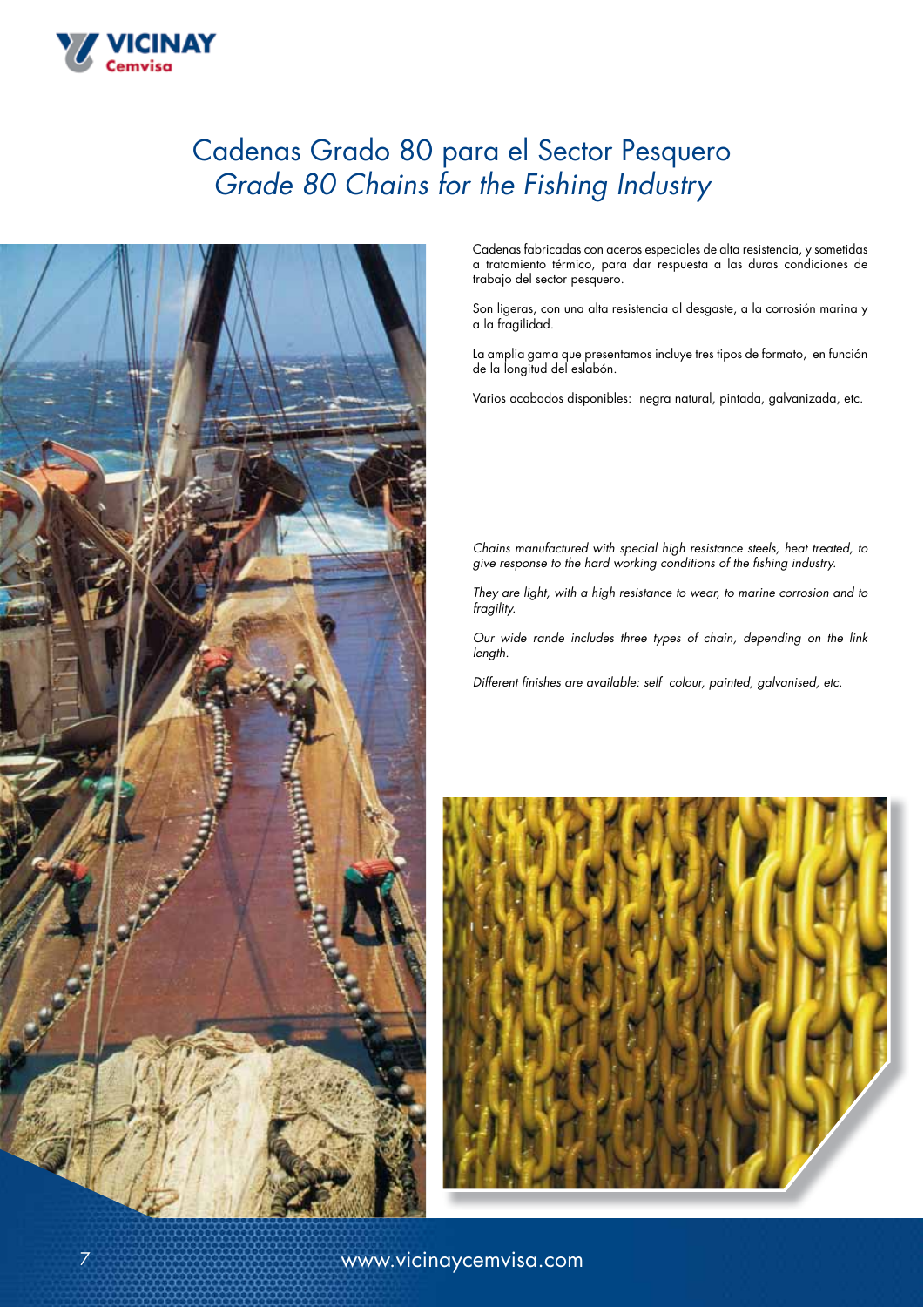# Cadenas Grado 80 para el Sector Pesquero *Grade 80 Chains for the Fishing Industry*



VICINAY

Cadenas fabricadas con aceros especiales de alta resistencia, y sometidas a tratamiento térmico, para dar respuesta a las duras condiciones de trabajo del sector pesquero.

Son ligeras, con una alta resistencia al desgaste, a la corrosión marina y a la fragilidad.

La amplia gama que presentamos incluye tres tipos de formato, en función de la longitud del eslabón.

Varios acabados disponibles: negra natural, pintada, galvanizada, etc.

*Chains manufactured with special high resistance steels, heat treated, to give response to the hard working conditions of the fishing industry.*

*They are light, with a high resistance to wear, to marine corrosion and to fragility.*

*Our wide rande includes three types of chain, depending on the link length.*

*Different finishes are available: self colour, painted, galvanised, etc.*

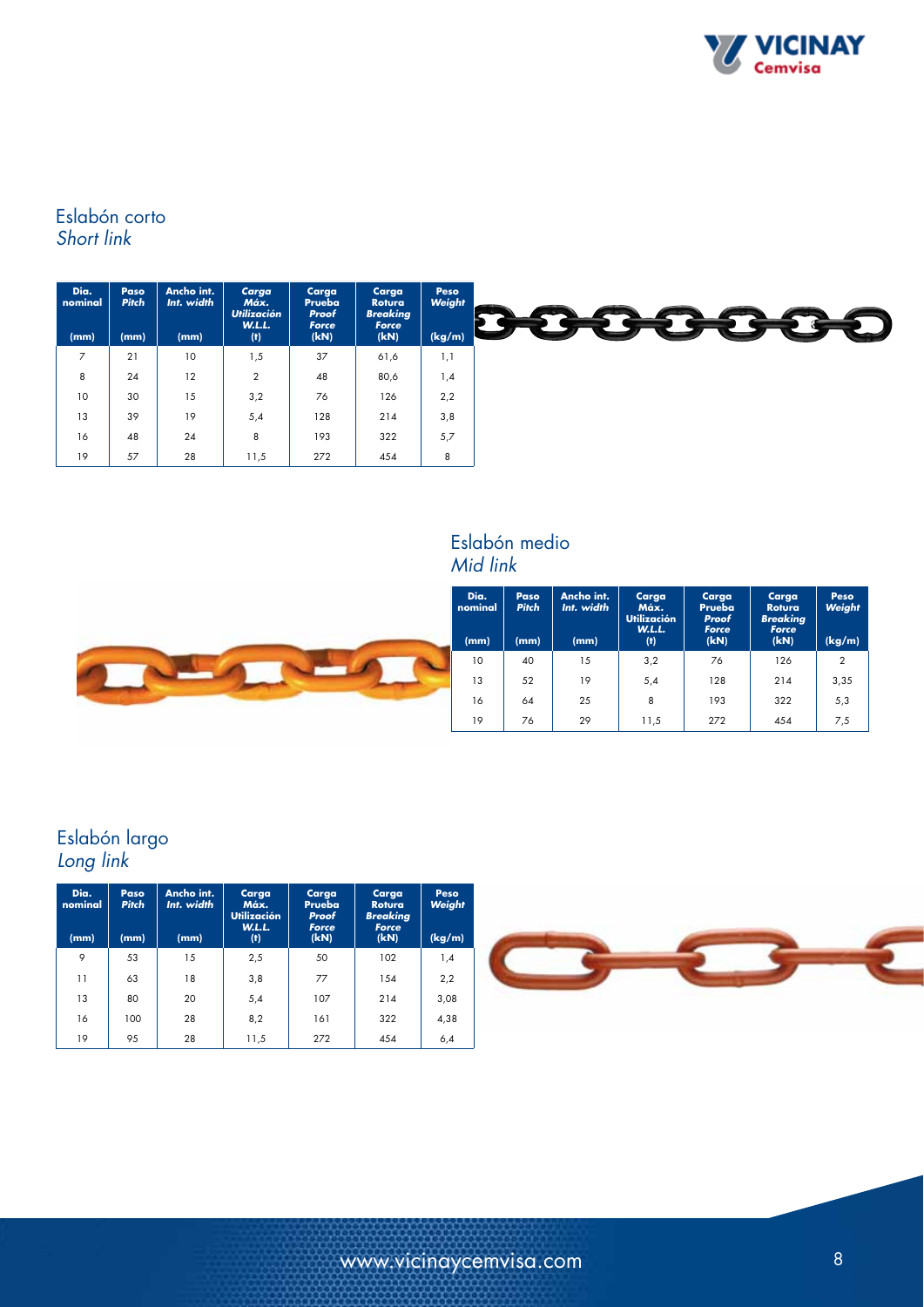

### Eslabón corto *Short link*

| Dia.<br>nominal | Paso<br><b>Pitch</b> | Ancho int.<br>Int. width | Carga<br>Máx.<br><b>Utilización</b><br><b>W.L.L.</b> | Carga<br>Prueba<br>Proof<br>Force | Carga<br>Rotura<br><b>Breaking</b><br>Force | Peso<br>Weight | - 10 |
|-----------------|----------------------|--------------------------|------------------------------------------------------|-----------------------------------|---------------------------------------------|----------------|------|
| (mm)            | (mm)                 | (mm)                     | (1)                                                  | (kN)                              | (kN)                                        | (kg/m)         |      |
| $\overline{7}$  | 21                   | 10                       | 5, ا                                                 | 37                                | 61,6                                        | 1,1            |      |
| 8               | 24                   | 12                       | $\overline{2}$                                       | 48                                | 80,6                                        | 1,4            |      |
| 10              | 30                   | 15                       | 3,2                                                  | 76                                | 126                                         | 2,2            |      |
| 13              | 39                   | 19                       | 5,4                                                  | 128                               | 214                                         | 3,8            |      |
| 16              | 48                   | 24                       | 8                                                    | 193                               | 322                                         | 5,7            |      |
| 19              | 57                   | 28                       | 11,5                                                 | 272                               | 454                                         | 8              |      |

### Eslabón medio *Mid link*



### Eslabón largo *Long link*

| Dia.<br>nominal | Paso<br><b>Pitch</b> | Ancho int.<br>Int. width | Carga<br>Máx.<br><b>Utilización</b><br><b>W.L.L.</b> | Carga<br>Prueba<br>Proof<br>Force | Carga<br><b>Rotura</b><br><b>Breaking</b><br><b>Force</b> | Peso<br>Weight |
|-----------------|----------------------|--------------------------|------------------------------------------------------|-----------------------------------|-----------------------------------------------------------|----------------|
| (mm)            | (mm)                 | (mm)                     | (f)                                                  | (kN)                              | (kN)                                                      | (kg/m)         |
| 9               | 53                   | 15                       | 2,5                                                  | 50                                | 102                                                       | 1,4            |
| 11              | 63                   | 18                       | 3,8                                                  | 77                                | 1.54                                                      | 2,2            |
| 13              | 80                   | 20                       | 5,4                                                  | 107                               | 214                                                       | 3,08           |
| 16              | 100                  | 28                       | 8,2                                                  | 161                               | 322                                                       | 4,38           |
| 19              | 95                   | 28                       | 11,5                                                 | 272                               | 454                                                       | 6,4            |

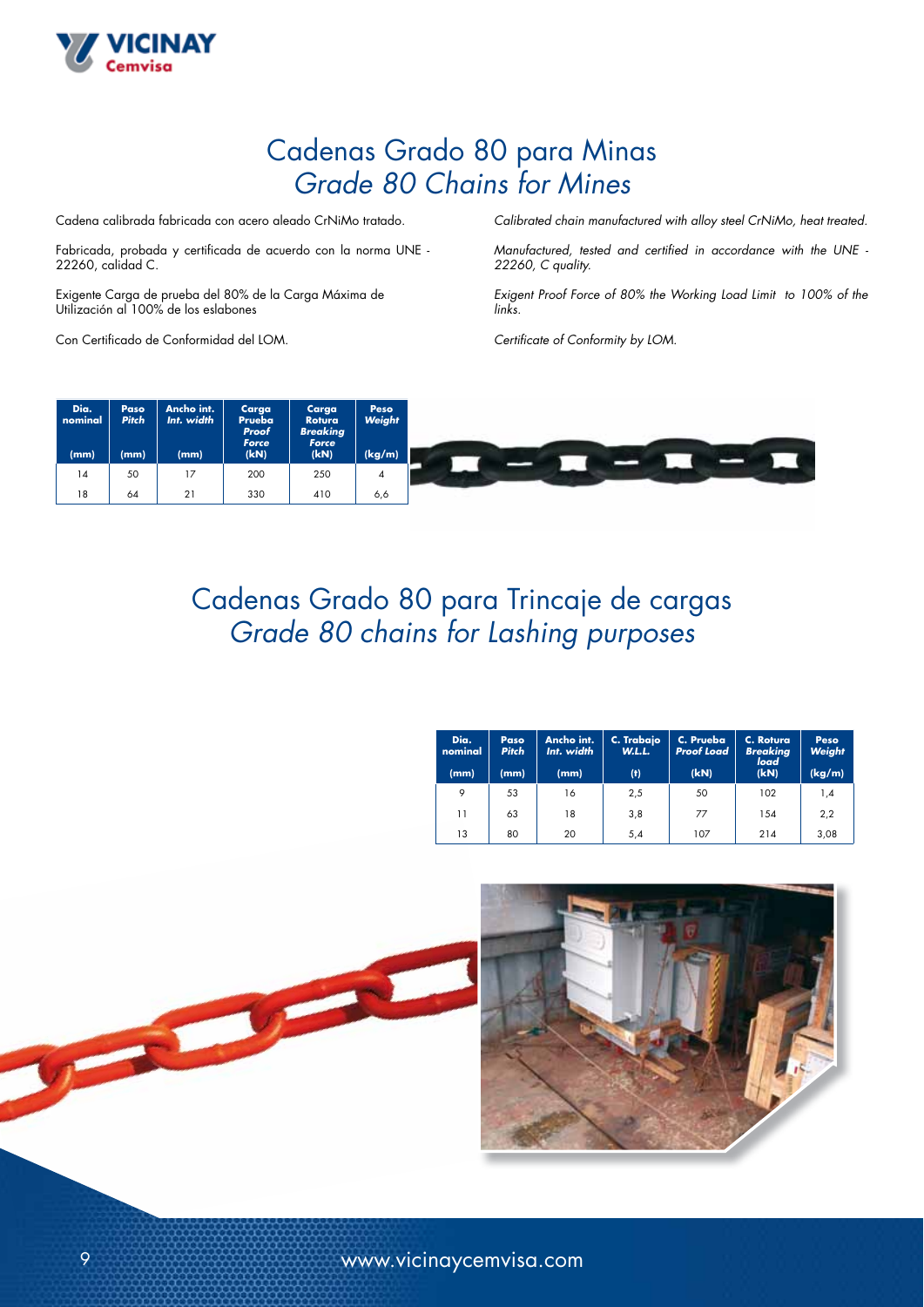

# Cadenas Grado 80 para Minas *Grade 80 Chains for Mines*

Cadena calibrada fabricada con acero aleado CrNiMo tratado.

Fabricada, probada y certificada de acuerdo con la norma UNE - 22260, calidad C.

Exigente Carga de prueba del 80% de la Carga Máxima de Utilización al 100% de los eslabones

Con Certificado de Conformidad del LOM.

*Calibrated chain manufactured with alloy steel CrNiMo, heat treated.*

*Manufactured, tested and certified in accordance with the UNE - 22260, C quality.*

*Exigent Proof Force of 80% the Working Load Limit to 100% of the links.*

*Certificate of Conformity by LOM.*



Cadenas Grado 80 para Trincaje de cargas *Grade 80 chains for Lashing purposes*

| Dia.<br>nominal<br>(mm) | Paso<br><b>Pitch</b><br>(mm) | Ancho int.<br>Int. width<br>(mm) | C. Trabajo<br><b>W.L.L.</b><br>$^{(\dagger)}$ | C. Prueba<br><b>Proof Load</b><br>(kN) | C. Rotura<br><b>Breaking</b><br>load<br>(kN) | Peso<br>Weight<br>(kg/m) |
|-------------------------|------------------------------|----------------------------------|-----------------------------------------------|----------------------------------------|----------------------------------------------|--------------------------|
| 9                       | 53                           | 16                               | 2,5                                           | 50                                     | 102                                          | 1,4                      |
| 11                      | 63                           | 18                               | 3,8                                           | 77                                     | 154                                          | 2,2                      |
| 13                      | 80                           | 20                               | 5,4                                           | 107                                    | 214                                          | 3,08                     |



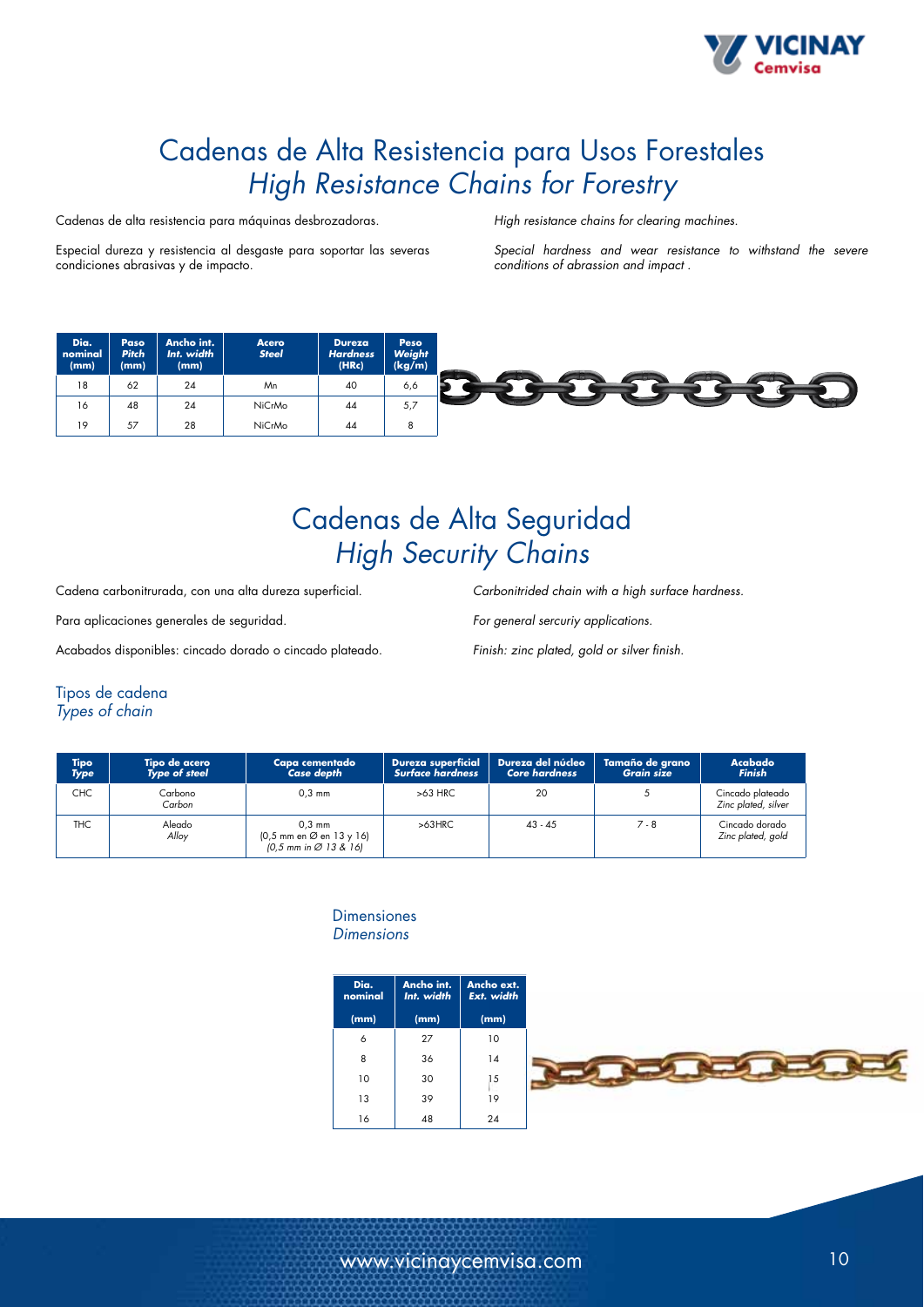

# Cadenas de Alta Resistencia para Usos Forestales *High Resistance Chains for Forestry*

Cadenas de alta resistencia para máquinas desbrozadoras.

Especial dureza y resistencia al desgaste para soportar las severas condiciones abrasivas y de impacto.

*High resistance chains for clearing machines.*

*Special hardness and wear resistance to withstand the severe conditions of abrassion and impact .*

| Dia.<br>nominal<br>(mm) | Paso<br><b>Pitch</b><br>(mm) | Ancho int.<br>Int. width<br>(mm) | Acero<br><b>Steel</b> | <b>Dureza</b><br><b>Hardness</b><br>(HRc) | Peso<br>Weight<br>(kg/m) |  |
|-------------------------|------------------------------|----------------------------------|-----------------------|-------------------------------------------|--------------------------|--|
| 18                      | 62                           | 24                               | Mn                    | 40                                        | 6,6                      |  |
| 16                      | 48                           | 24                               | NiCrMo                | 44                                        | 5,7                      |  |
| 19                      | 57                           | 28                               | NiCrMo                | 44                                        |                          |  |

# Cadenas de Alta Seguridad *High Security Chains*

Cadena carbonitrurada, con una alta dureza superficial.

Para aplicaciones generales de seguridad.

Acabados disponibles: cincado dorado o cincado plateado.

*Carbonitrided chain with a high surface hardness.*

*For general sercuriy applications.*

*Finish: zinc plated, gold or silver finish.*

### Tipos de cadena

*Types of chain*

| Tipo<br><b>Type</b> | Tipo de acero<br><b>Type of steel</b> | Capa cementado<br><b>Case depth</b>                                      | <b>Dureza superficial</b><br><b>Surface hardness</b> | Dureza del núcleo<br><b>Core hardness</b> | Tamaño de grano<br><b>Grain size</b> | <b>Acabado</b><br><b>Finish</b>         |
|---------------------|---------------------------------------|--------------------------------------------------------------------------|------------------------------------------------------|-------------------------------------------|--------------------------------------|-----------------------------------------|
| <b>CHC</b>          | Carbono<br>Carbon                     | $0.3$ mm                                                                 | $>63$ HRC                                            | 20                                        |                                      | Cincado plateado<br>Zinc plated, silver |
| THC.                | Aleado<br>Allov                       | $0.3 \text{ mm}$<br>(0,5 mm en ∅ en 13 y 16)<br>$[0, 5$ mm in Ø 13 & 16] | $>63$ HRC                                            | $43 - 45$                                 | $7 - 8$                              | Cincado dorado<br>Zinc plated, gold     |

#### **Dimensiones** *Dimensions*

| Dia.<br>nominal | Ancho int.<br>Int. width | Ancho ext.<br>Ext. width |  |
|-----------------|--------------------------|--------------------------|--|
| (mm)            | (mm)                     | (mm)                     |  |
| 6               | 27                       | 10                       |  |
| 8               | 36                       | 14                       |  |
| 10              | 30                       | 15                       |  |
| 13              | 39                       | 19                       |  |
| 16              | 48                       | 24                       |  |

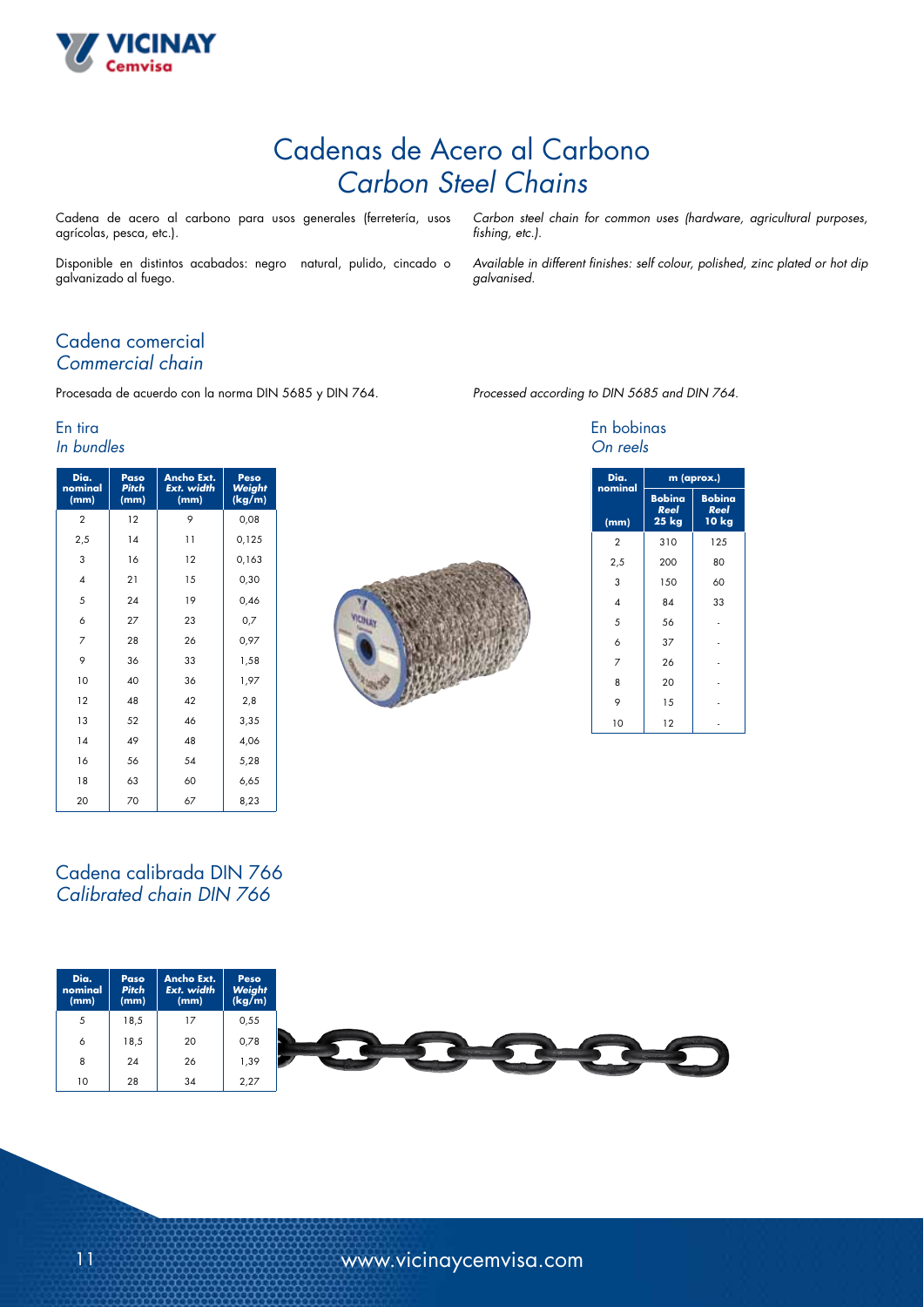

# Cadenas de Acero al Carbono *Carbon Steel Chains*

Cadena de acero al carbono para usos generales (ferretería, usos agrícolas, pesca, etc.).

Disponible en distintos acabados: negro natural, pulido, cincado o galvanizado al fuego.

*Carbon steel chain for common uses (hardware, agricultural purposes, fishing, etc.).*

*Available in different finishes: self colour, polished, zinc plated or hot dip galvanised.*

### Cadena comercial *Commercial chain*

Procesada de acuerdo con la norma DIN 5685 y DIN 764.

#### En tira *In bundles*

| Dia.<br>nominal<br>(mm) | Paso<br><b>Pitch</b><br>(mm) | <b>Ancho Ext.</b><br>Ext. width<br>(mm) | Peso<br>Weight<br>(kg/m) |
|-------------------------|------------------------------|-----------------------------------------|--------------------------|
| 2                       | 12                           | 9                                       | 0,08                     |
| 2,5                     | 14                           | $\overline{11}$                         | 0,125                    |
| 3                       | 16                           | 12                                      | 0,163                    |
| $\overline{A}$          | 21                           | 15                                      | 0,30                     |
| 5                       | 24                           | 19                                      | 0,46                     |
| 6                       | 27                           | 23                                      | 0,7                      |
| 7                       | 28                           | 26                                      | 0,97                     |
| 9                       | 36                           | 33                                      | 1,58                     |
| 10                      | 40                           | 36                                      | 1,97                     |
| 12                      | 48                           | 42                                      | 2,8                      |
| 13                      | 52                           | 46                                      | 3,35                     |
| 14                      | 49                           | 48                                      | 4,06                     |
| 16                      | 56                           | 54                                      | 5,28                     |
| 18                      | 63                           | 60                                      | 6,65                     |
| 20                      | 70                           | 67                                      | 8,23                     |



|  | Processed according to DIN 5685 and DIN 764. |  |  |  |  |  |
|--|----------------------------------------------|--|--|--|--|--|
|--|----------------------------------------------|--|--|--|--|--|

#### En bobinas *On reels*

| Dia.<br>nominal | m (aprox.)                            |                                |  |  |  |
|-----------------|---------------------------------------|--------------------------------|--|--|--|
| (mm)            | <b>Bobina</b><br>Reel<br><b>25 kg</b> | <b>Bobina</b><br>Reel<br>10 kg |  |  |  |
| $\overline{2}$  | 310                                   | 125                            |  |  |  |
| 2,5             | 200                                   | 80                             |  |  |  |
| 3               | 150                                   | 60                             |  |  |  |
| 4               | 84                                    | 33                             |  |  |  |
| 5               | 56                                    |                                |  |  |  |
| 6               | 37                                    |                                |  |  |  |
| 7               | 26                                    |                                |  |  |  |
| 8               | 20                                    |                                |  |  |  |
| 9               | 15                                    |                                |  |  |  |
| 10              | 12                                    |                                |  |  |  |

### Cadena calibrada DIN 766 *Calibrated chain DIN 766*

| Dia.<br>nominal<br>(mm) | <b>Paso</b><br><b>Pitch</b><br>(mm) | Ancho Ext.<br>Ext. width<br>(mm) | Peso<br>Weight<br>(kg/m) |
|-------------------------|-------------------------------------|----------------------------------|--------------------------|
| 5                       | 18,5                                | 17                               | 0,55                     |
| $\circ$                 | 18,5                                | 20                               | 0,78                     |
| 8                       | 24                                  | 26                               | 39, ا                    |
| 10                      | 28                                  | 34                               | 2,27                     |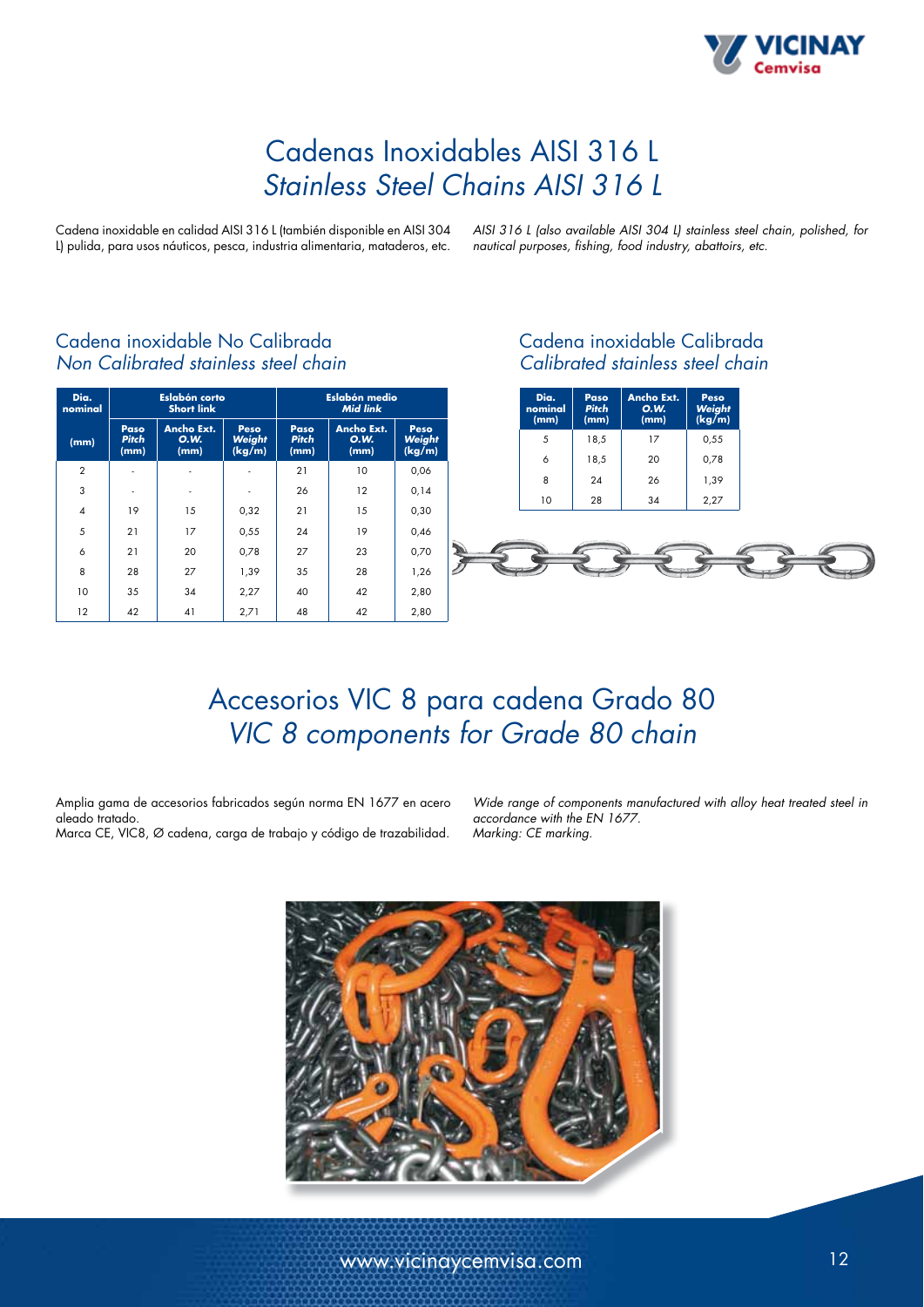

# Cadenas Inoxidables AISI 316 L *Stainless Steel Chains AISI 316 L*

Cadena inoxidable en calidad AISI 316 L (también disponible en AISI 304 L) pulida, para usos náuticos, pesca, industria alimentaria, mataderos, etc. *AISI 316 L (also available AISI 304 L) stainless steel chain, polished, for nautical purposes, fishing, food industry, abattoirs, etc.*

| Dia.<br>nominal | <b>Eslabón corto</b><br><b>Short link</b> |                                          |                          | Eslabón medio<br><b>Mid link</b> |                                   |                          |
|-----------------|-------------------------------------------|------------------------------------------|--------------------------|----------------------------------|-----------------------------------|--------------------------|
| (mm)            | Paso<br><b>Pitch</b><br>(mm)              | <b>Ancho Ext.</b><br><b>O.W.</b><br>(mm) | Peso<br>Weight<br>(kg/m) | Paso<br><b>Pitch</b><br>(mm)     | Ancho Ext.<br><b>O.W.</b><br>(mm) | Peso<br>Weight<br>(kg/m) |
| $\overline{2}$  |                                           |                                          |                          | 21                               | 10                                | 0,06                     |
| 3               |                                           | ٠                                        |                          | 26                               | 12                                | 0,14                     |
| $\overline{4}$  | 19                                        | 15                                       | 0,32                     | 21                               | 15                                | 0,30                     |
| 5               | 21                                        | 17                                       | 0,55                     | 24                               | 19                                | 0,46                     |
| 6               | 21                                        | 20                                       | 0,78                     | 27                               | 23                                | 0,70                     |
| 8               | 28                                        | 27                                       | 1,39                     | 35                               | 28                                | 1,26                     |
| 10              | 35                                        | 34                                       | 2,27                     | 40                               | 42                                | 2,80                     |
| 12              | 42                                        | 41                                       | 2,71                     | 48                               | 42                                | 2,80                     |

### Cadena inoxidable No Calibrada *Non Calibrated stainless steel chain*

### Cadena inoxidable Calibrada *Calibrated stainless steel chain*

| Dia.<br>nominal<br>(mm) | Paso<br><b>Pitch</b><br>(mm) | <b>Ancho Ext.</b><br><b>O.W.</b><br>(mm) | Peso<br>Weight<br>(kg/m) |
|-------------------------|------------------------------|------------------------------------------|--------------------------|
| 5                       | 18,5                         | 17                                       | 0,55                     |
| 6                       | 18,5                         | 20                                       | 0,78                     |
| 8                       | 24                           | 26                                       | 1,39                     |
| 10                      | 28                           | 34                                       | 2,27                     |



# Accesorios VIC 8 para cadena Grado 80 *VIC 8 components for Grade 80 chain*

Amplia gama de accesorios fabricados según norma EN 1677 en acero aleado tratado. Marca CE, VIC8, Ø cadena, carga de trabajo y código de trazabilidad.

*Wide range of components manufactured with alloy heat treated steel in accordance with the EN 1677. Marking: CE marking.*